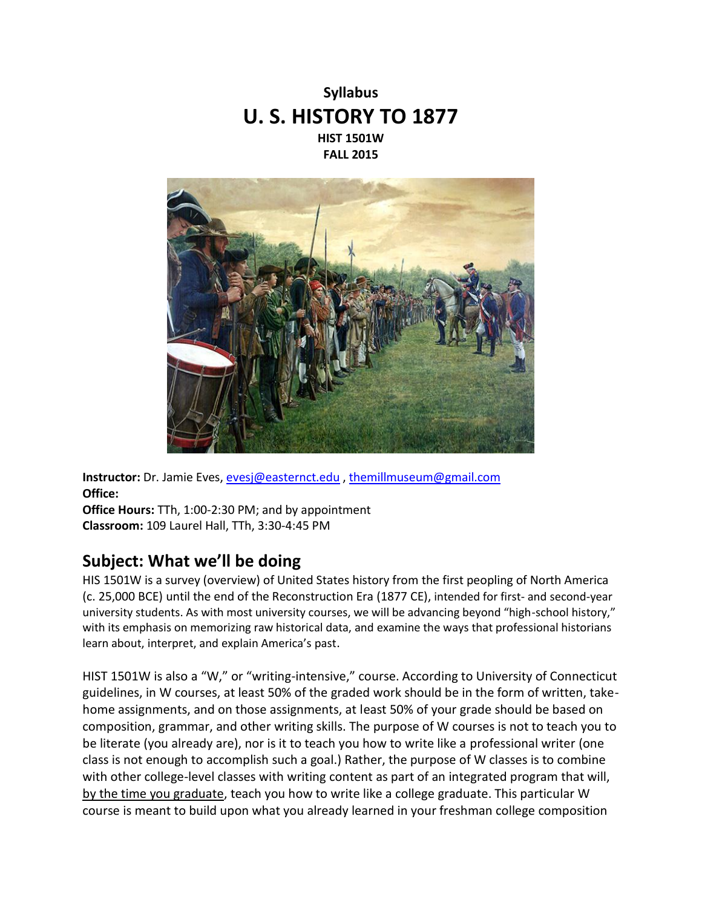



**Instructor:** Dr. Jamie Eves, [evesj@easternct.edu](mailto:evesj@easternct.edu) , [themillmuseum@gmail.com](mailto:themillmuseum@gmail.com) **Office:**

**Office Hours:** TTh, 1:00-2:30 PM; and by appointment **Classroom:** 109 Laurel Hall, TTh, 3:30-4:45 PM

## **Subject: What we'll be doing**

HIS 1501W is a survey (overview) of United States history from the first peopling of North America (c. 25,000 BCE) until the end of the Reconstruction Era (1877 CE), intended for first- and second-year university students. As with most university courses, we will be advancing beyond "high-school history," with its emphasis on memorizing raw historical data, and examine the ways that professional historians learn about, interpret, and explain America's past.

HIST 1501W is also a "W," or "writing-intensive," course. According to University of Connecticut guidelines, in W courses, at least 50% of the graded work should be in the form of written, takehome assignments, and on those assignments, at least 50% of your grade should be based on composition, grammar, and other writing skills. The purpose of W courses is not to teach you to be literate (you already are), nor is it to teach you how to write like a professional writer (one class is not enough to accomplish such a goal.) Rather, the purpose of W classes is to combine with other college-level classes with writing content as part of an integrated program that will, by the time you graduate, teach you how to write like a college graduate. This particular W course is meant to build upon what you already learned in your freshman college composition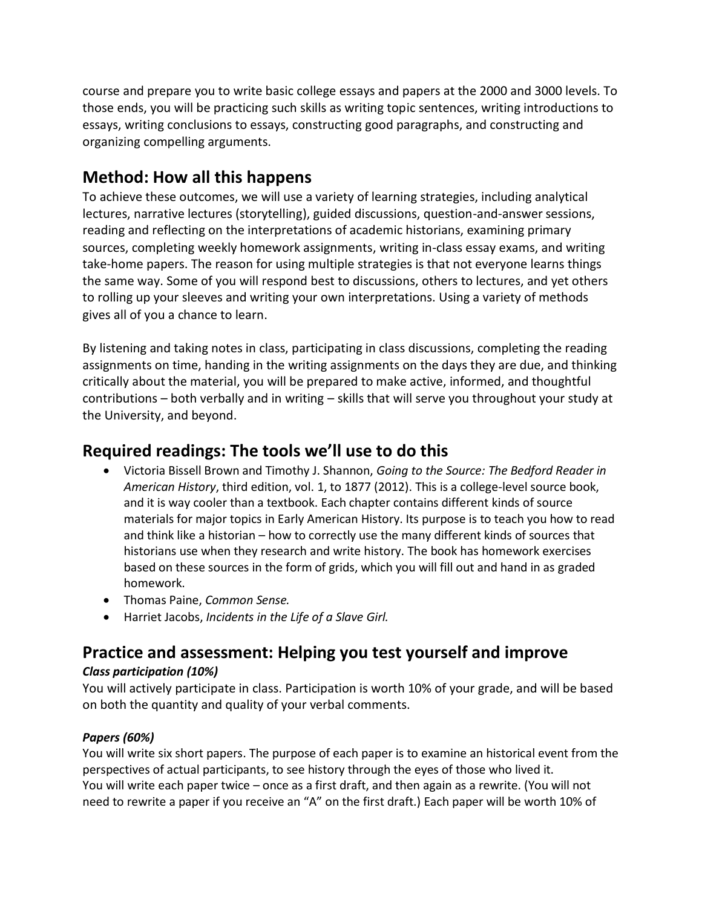course and prepare you to write basic college essays and papers at the 2000 and 3000 levels. To those ends, you will be practicing such skills as writing topic sentences, writing introductions to essays, writing conclusions to essays, constructing good paragraphs, and constructing and organizing compelling arguments.

## **Method: How all this happens**

To achieve these outcomes, we will use a variety of learning strategies, including analytical lectures, narrative lectures (storytelling), guided discussions, question-and-answer sessions, reading and reflecting on the interpretations of academic historians, examining primary sources, completing weekly homework assignments, writing in-class essay exams, and writing take-home papers. The reason for using multiple strategies is that not everyone learns things the same way. Some of you will respond best to discussions, others to lectures, and yet others to rolling up your sleeves and writing your own interpretations. Using a variety of methods gives all of you a chance to learn.

By listening and taking notes in class, participating in class discussions, completing the reading assignments on time, handing in the writing assignments on the days they are due, and thinking critically about the material, you will be prepared to make active, informed, and thoughtful contributions – both verbally and in writing – skills that will serve you throughout your study at the University, and beyond.

## **Required readings: The tools we'll use to do this**

- Victoria Bissell Brown and Timothy J. Shannon, *Going to the Source: The Bedford Reader in American History*, third edition, vol. 1, to 1877 (2012). This is a college-level source book, and it is way cooler than a textbook. Each chapter contains different kinds of source materials for major topics in Early American History. Its purpose is to teach you how to read and think like a historian – how to correctly use the many different kinds of sources that historians use when they research and write history. The book has homework exercises based on these sources in the form of grids, which you will fill out and hand in as graded homework.
- Thomas Paine, *Common Sense.*
- Harriet Jacobs, *Incidents in the Life of a Slave Girl.*

# **Practice and assessment: Helping you test yourself and improve**

### *Class participation (10%)*

You will actively participate in class. Participation is worth 10% of your grade, and will be based on both the quantity and quality of your verbal comments.

### *Papers (60%)*

You will write six short papers. The purpose of each paper is to examine an historical event from the perspectives of actual participants, to see history through the eyes of those who lived it. You will write each paper twice – once as a first draft, and then again as a rewrite. (You will not need to rewrite a paper if you receive an "A" on the first draft.) Each paper will be worth 10% of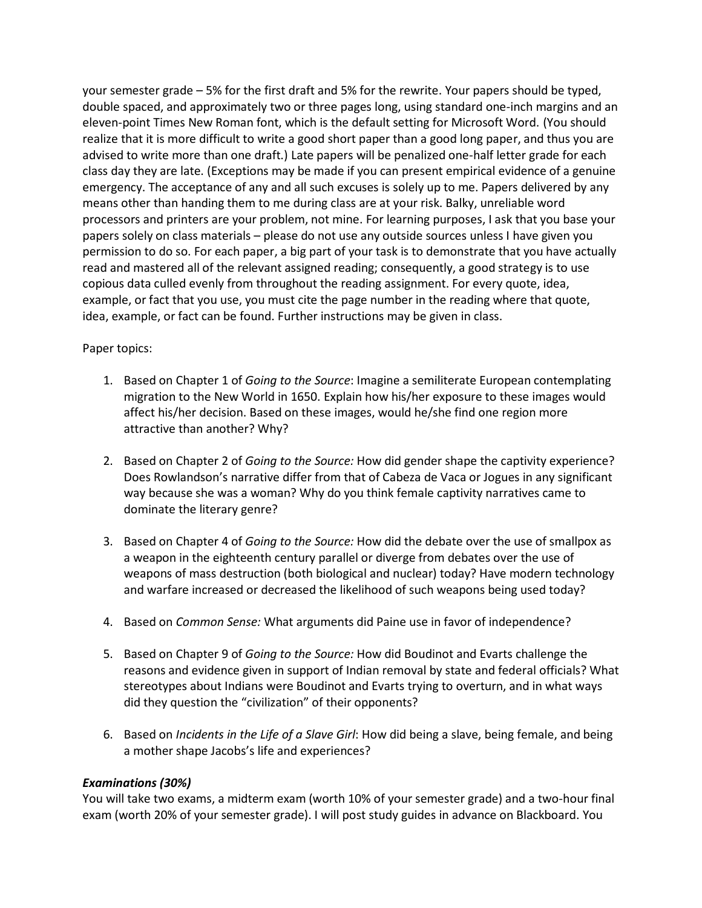your semester grade – 5% for the first draft and 5% for the rewrite. Your papers should be typed, double spaced, and approximately two or three pages long, using standard one-inch margins and an eleven-point Times New Roman font, which is the default setting for Microsoft Word. (You should realize that it is more difficult to write a good short paper than a good long paper, and thus you are advised to write more than one draft.) Late papers will be penalized one-half letter grade for each class day they are late. (Exceptions may be made if you can present empirical evidence of a genuine emergency. The acceptance of any and all such excuses is solely up to me. Papers delivered by any means other than handing them to me during class are at your risk. Balky, unreliable word processors and printers are your problem, not mine. For learning purposes, I ask that you base your papers solely on class materials – please do not use any outside sources unless I have given you permission to do so. For each paper, a big part of your task is to demonstrate that you have actually read and mastered all of the relevant assigned reading; consequently, a good strategy is to use copious data culled evenly from throughout the reading assignment. For every quote, idea, example, or fact that you use, you must cite the page number in the reading where that quote, idea, example, or fact can be found. Further instructions may be given in class.

### Paper topics:

- 1. Based on Chapter 1 of *Going to the Source*: Imagine a semiliterate European contemplating migration to the New World in 1650. Explain how his/her exposure to these images would affect his/her decision. Based on these images, would he/she find one region more attractive than another? Why?
- 2. Based on Chapter 2 of *Going to the Source:* How did gender shape the captivity experience? Does Rowlandson's narrative differ from that of Cabeza de Vaca or Jogues in any significant way because she was a woman? Why do you think female captivity narratives came to dominate the literary genre?
- 3. Based on Chapter 4 of *Going to the Source:* How did the debate over the use of smallpox as a weapon in the eighteenth century parallel or diverge from debates over the use of weapons of mass destruction (both biological and nuclear) today? Have modern technology and warfare increased or decreased the likelihood of such weapons being used today?
- 4. Based on *Common Sense:* What arguments did Paine use in favor of independence?
- 5. Based on Chapter 9 of *Going to the Source:* How did Boudinot and Evarts challenge the reasons and evidence given in support of Indian removal by state and federal officials? What stereotypes about Indians were Boudinot and Evarts trying to overturn, and in what ways did they question the "civilization" of their opponents?
- 6. Based on *Incidents in the Life of a Slave Girl*: How did being a slave, being female, and being a mother shape Jacobs's life and experiences?

### *Examinations (30%)*

You will take two exams, a midterm exam (worth 10% of your semester grade) and a two-hour final exam (worth 20% of your semester grade). I will post study guides in advance on Blackboard. You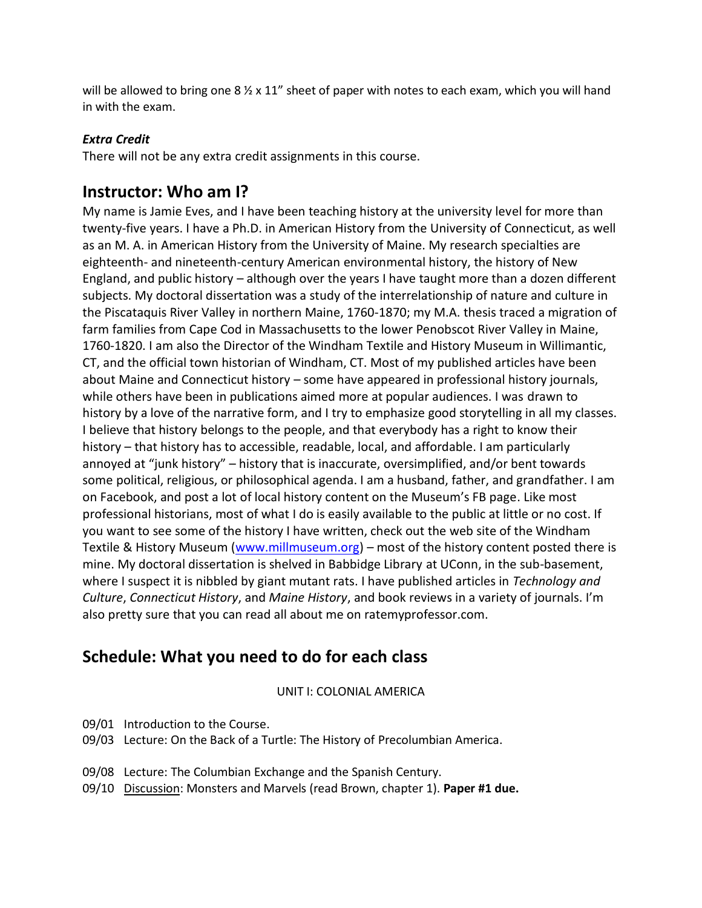will be allowed to bring one  $8\frac{1}{2} \times 11$ " sheet of paper with notes to each exam, which you will hand in with the exam.

### *Extra Credit*

There will not be any extra credit assignments in this course.

### **Instructor: Who am I?**

My name is Jamie Eves, and I have been teaching history at the university level for more than twenty-five years. I have a Ph.D. in American History from the University of Connecticut, as well as an M. A. in American History from the University of Maine. My research specialties are eighteenth- and nineteenth-century American environmental history, the history of New England, and public history – although over the years I have taught more than a dozen different subjects. My doctoral dissertation was a study of the interrelationship of nature and culture in the Piscataquis River Valley in northern Maine, 1760-1870; my M.A. thesis traced a migration of farm families from Cape Cod in Massachusetts to the lower Penobscot River Valley in Maine, 1760-1820. I am also the Director of the Windham Textile and History Museum in Willimantic, CT, and the official town historian of Windham, CT. Most of my published articles have been about Maine and Connecticut history – some have appeared in professional history journals, while others have been in publications aimed more at popular audiences. I was drawn to history by a love of the narrative form, and I try to emphasize good storytelling in all my classes. I believe that history belongs to the people, and that everybody has a right to know their history – that history has to accessible, readable, local, and affordable. I am particularly annoyed at "junk history" – history that is inaccurate, oversimplified, and/or bent towards some political, religious, or philosophical agenda. I am a husband, father, and grandfather. I am on Facebook, and post a lot of local history content on the Museum's FB page. Like most professional historians, most of what I do is easily available to the public at little or no cost. If you want to see some of the history I have written, check out the web site of the Windham Textile & History Museum [\(www.millmuseum.org\)](http://www.millmuseum.org/) – most of the history content posted there is mine. My doctoral dissertation is shelved in Babbidge Library at UConn, in the sub-basement, where I suspect it is nibbled by giant mutant rats. I have published articles in *Technology and Culture*, *Connecticut History*, and *Maine History*, and book reviews in a variety of journals. I'm also pretty sure that you can read all about me on ratemyprofessor.com.

## **Schedule: What you need to do for each class**

UNIT I: COLONIAL AMERICA

09/01 Introduction to the Course.

- 09/03 Lecture: On the Back of a Turtle: The History of Precolumbian America.
- 09/08 Lecture: The Columbian Exchange and the Spanish Century.
- 09/10 Discussion: Monsters and Marvels (read Brown, chapter 1). **Paper #1 due.**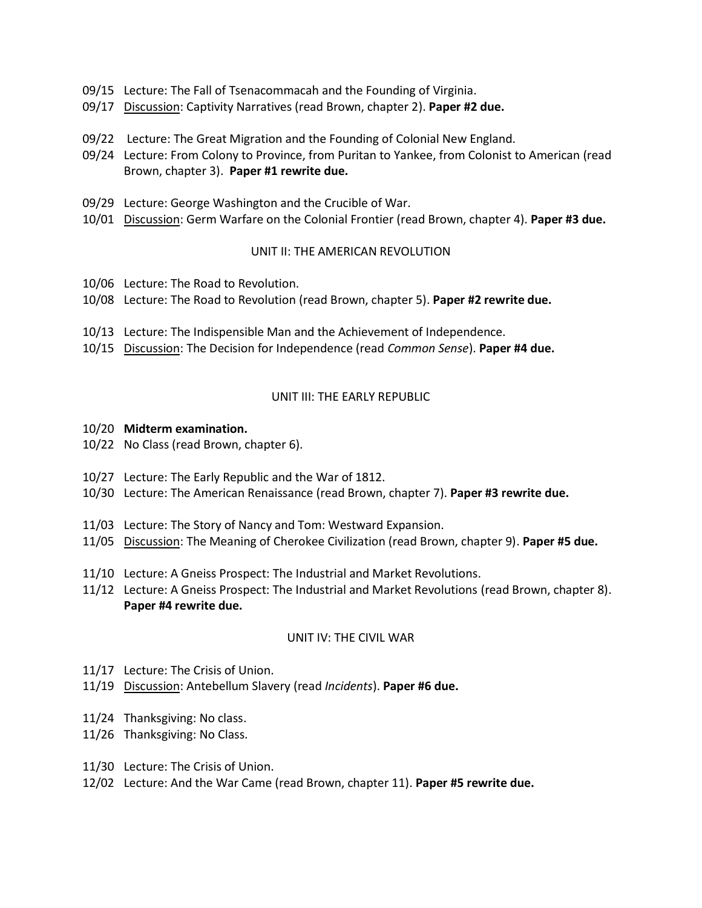- 09/15 Lecture: The Fall of Tsenacommacah and the Founding of Virginia.
- 09/17 Discussion: Captivity Narratives (read Brown, chapter 2). **Paper #2 due.**
- 09/22 Lecture: The Great Migration and the Founding of Colonial New England.
- 09/24 Lecture: From Colony to Province, from Puritan to Yankee, from Colonist to American (read Brown, chapter 3). **Paper #1 rewrite due.**
- 09/29 Lecture: George Washington and the Crucible of War.
- 10/01 Discussion: Germ Warfare on the Colonial Frontier (read Brown, chapter 4). **Paper #3 due.**

#### UNIT II: THE AMERICAN REVOLUTION

- 10/06 Lecture: The Road to Revolution.
- 10/08 Lecture: The Road to Revolution (read Brown, chapter 5). **Paper #2 rewrite due.**
- 10/13 Lecture: The Indispensible Man and the Achievement of Independence.
- 10/15 Discussion: The Decision for Independence (read *Common Sense*). **Paper #4 due.**

### UNIT III: THE EARLY REPUBLIC

#### 10/20 **Midterm examination.**

- 10/22 No Class (read Brown, chapter 6).
- 10/27 Lecture: The Early Republic and the War of 1812.
- 10/30 Lecture: The American Renaissance (read Brown, chapter 7). **Paper #3 rewrite due.**
- 11/03 Lecture: The Story of Nancy and Tom: Westward Expansion.
- 11/05 Discussion: The Meaning of Cherokee Civilization (read Brown, chapter 9). **Paper #5 due.**
- 11/10 Lecture: A Gneiss Prospect: The Industrial and Market Revolutions.
- 11/12 Lecture: A Gneiss Prospect: The Industrial and Market Revolutions (read Brown, chapter 8). **Paper #4 rewrite due.**

### UNIT IV: THE CIVIL WAR

- 11/17 Lecture: The Crisis of Union.
- 11/19 Discussion: Antebellum Slavery (read *Incidents*). **Paper #6 due.**
- 11/24 Thanksgiving: No class.
- 11/26 Thanksgiving: No Class.
- 11/30 Lecture: The Crisis of Union.
- 12/02 Lecture: And the War Came (read Brown, chapter 11). **Paper #5 rewrite due.**